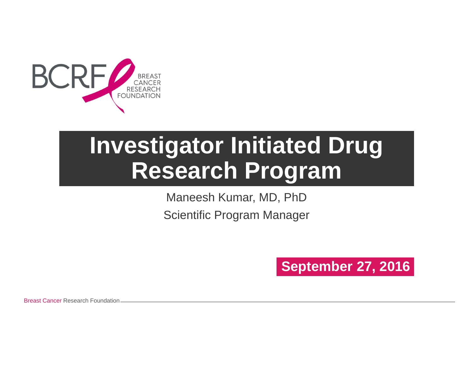

# **Investigator Initiated Drug Research Program**

Maneesh Kumar, MD, PhD Scientific Program Manager

### **September 27, 2016**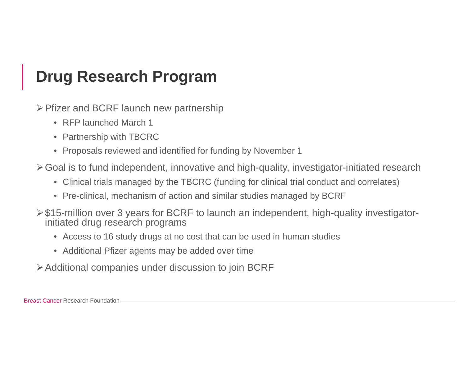### **Drug Research Program**

Pfizer and BCRF launch new partnership

- RFP launched March 1
- Partnership with TBCRC
- Proposals reviewed and identified for funding by November 1

Goal is to fund independent, innovative and high-quality, investigator-initiated research

- Clinical trials managed by the TBCRC (funding for clinical trial conduct and correlates)
- Pre-clinical, mechanism of action and similar studies managed by BCRF
- \$15-million over 3 years for BCRF to launch an independent, high-quality investigatorinitiated drug research programs
	- Access to 16 study drugs at no cost that can be used in human studies
	- Additional Pfizer agents may be added over time
- Additional companies under discussion to join BCRF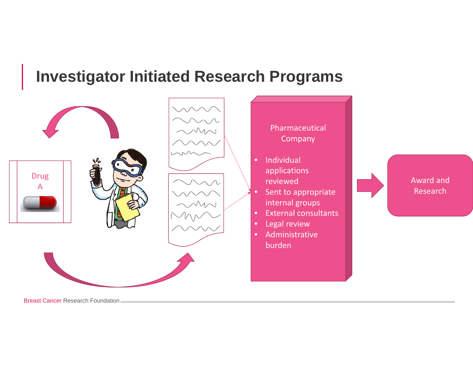### **Investigator Initiated Research Programs**

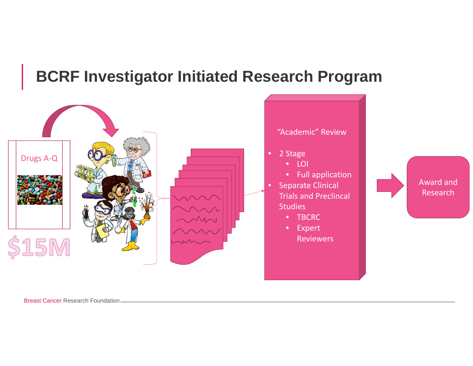### **BCRF Investigator Initiated Research Program**

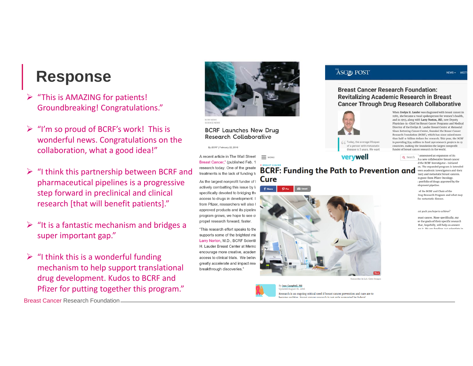### **Response**

- $\blacktriangleright$  "This is AMAZING for patients! Groundbreaking! Congratulations."
- $\triangleright$  "I'm so proud of BCRF's work! This is wonderful news. Congratulations on the collaboration, what <sup>a</sup> good idea!"
- $\triangleright$  "I think this partnership between BCRF and pharmaceutical pipelines is <sup>a</sup> progressive step forward in preclinical and clinical research [that will benefit patients]."
- $\triangleright$  "It is a fantastic mechanism and bridges a super important gap."
- $\triangleright$  "I think this is a wonderful funding mechanism to help support translational drug development. Kudos to BCRF and Pfizer for putting together this program."



#### **BCRF Launches New Drug Research Collaborative**

By BCRF | February 22, 2016

A recent article in The Wall Street  $\equiv$  MENU Breast Cancer," (published Feb. 1 research today. One of the greate treatments is the lack of funding to

As the largest nonprofit funder of I actively combatting this issue by la specifically devoted to bridging the access to drugs in development. I from Pfizer, researchers will also I approved products and its pipeline program grows, we hope to see of propel research forward, faster.

"This research effort speaks to the supports some of the brightest mir Larry Norton, M.D., BCRF Scientif H. Lauder Breast Center at Memo encourage more creative, academ access to clinical trials. We believ greatly accelerate and impact rese breakthrough discoveries.

#### ASCO POST

#### **Breast Cancer Research Foundation: Revitalizing Academic Research in Breast Cancer Through Drug Research Collaborative**



Today, the average lifespan of a person with metastatic disease is 3 years. We want

verywell

**BCRF: Funding the Path to Prevention and Cure** 

By Jean Campbell, MS



her in Lah, Getty Imag

Research is an ongoing critical need if breast cancer prevention and cure are to e realities. Breast cancer research is not only su morted by federal

When Evelyn H. Lauder was diagnosed with breast cancer in 1989, she became a vocal spokesperson for women's health, and in 1993, along with Larry Norton, MD, now Deputy Physician-in-Chief for Breast Cancer Programs and Medical Director of the Evelyn H. Lauder Breast Center at Memorial Sloan Kettering Cancer Center, founded the Breast Cancer Research Foundation (BCRF), which has since raised more than half-a-billion dollars for research. This year, the BCRF is providing \$54 million to fund 240 research projects in 13 countries, making the foundation the largest nonprofit funder of breast cancer research in the world.

> Q Search announced an expansion of its h a new collaborative breast cancer d the BCRF Investigator-Initiated m. The expanded program is intended veen academic investigators and their nary and metastatic breast cancers. n grant from Pfizer Oncology portfolio of drugs approved by the elopment pipeline

NFWS +

of the BCRE and Chair of the Irug Research Program and what may for metastatic disease.

ost goals you hope to achieve?

reast cancer. More specifically, my re the goals of their specific research that, hopefully, will help us answer tre it. We are funding 240 scientists in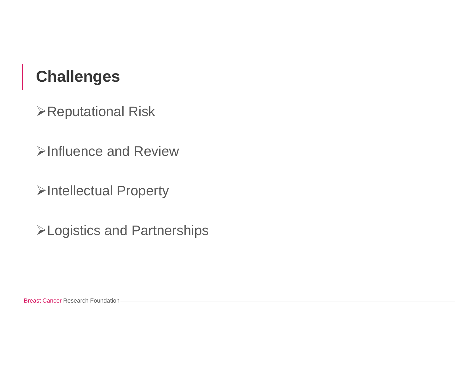### **Challenges**

Reputational Risk

Influence and Review

Intellectual Property

Logistics and Partnerships